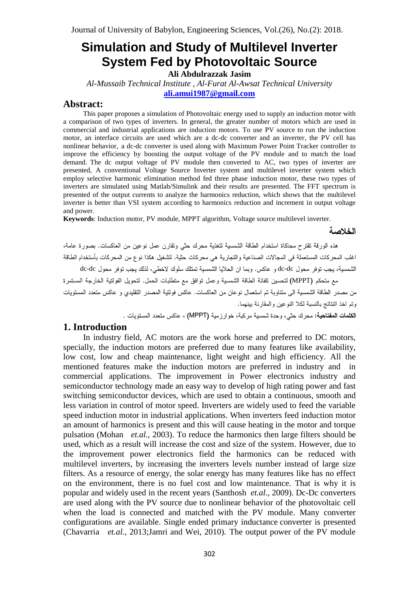# **Simulation and Study of Multilevel Inverter System Fed by Photovoltaic Source**

**Ali Abdulrazzak Jasim**

*Al-Mussaib Technical Institute , Al-Furat Al-Awsat Technical University* **[ali.amui1987@gmail.com](mailto:ali.amui1987@gmail.com)**

## **Abstract:**

This paper proposes a simulation of Photovoltaic energy used to supply an induction motor with a comparison of two types of inverters. In general, the greater number of motors which are used in commercial and industrial applications are induction motors. To use PV source to run the induction motor, an interface circuits are used which are a dc-dc"converter and an inverter, the PV cell has nonlinear behavior,"a dc-dc converter is used along with Maximum Power Point Tracker controller to improve the efficiency by boosting the output voltage of the PV module and to match the load demand. The dc output voltage of PV module then converted to AC, two types of inverter are presented, A conventional Voltage Source Inverter system and multilevel inverter system which employ selective harmonic elimination method fed three phase induction motor, these two types of inverters are simulated using Matlab/Simulink and their results are presented. The FFT spectrum is presented of the output currents to analyze the harmonics reduction, which shows that the multilevel inverter is better than VSI system according to harmonics reduction and increment in output voltage and power.

**Keywords**: Induction motor, PV module, MPPT algorithm, Voltage source multilevel inverter.

#### الخلاصة

هذه الورقة نقترح محاكاة استخدام الطاقة الشمسية لتغذية محرك حثى ونقارن عمل نوعين من العاكسات. بصورة عامة، اغلب المحركات المستعملة في المجالات الصناعية والتجارية هي محركات حثية. لتشغيل هكذا نوع من المحركات بأستخدام الطاقة

الشمسية، يجب توفر محول dc-dc و عاكس. وبما ان الحلايا الشمسية تمتلك سلوك لاخطي، لذلك يجب توفر محول dc-dc مع متحكم (MPPT) لتحسين كفائة الطاقة الشمسية وعمل توافق مع متطلبات الحمل. لتحويل الفولتية الخارجة المستمرة من مصدر الطاقة الشمسية الى متناوبة تم استعمال نو عان من العاكسات. عاكس فولتية المصدر التقليدي و عاكس متعدد المستويات وتم اخذ النتائج بالنسبة لكلا النوعين والمقارنة بينهما.

## **1. Introduction**

In industry field, AC motors are the work horse and preferred to DC motors, specially, the induction motors are preferred due to many features like availability, low cost, low and cheap maintenance, light weight and high efficiency. All the mentioned features make the induction motors are preferred in industry and in commercial applications. The improvement in Power electronics industry and semiconductor technology made an easy way to develop of high rating power and fast switching semiconductor devices, which are used to obtain a continuous, smooth and less variation in control of motor speed. Inverters are widely used to feed the variable speed induction motor in industrial applications. When inverters feed induction motor an amount of harmonics is present and this will cause heating in the motor and torque pulsation (Mohan *et.al.*, 2003). To reduce the harmonics then large filters should be used, which as a result will increase the cost and size of the system. However, due to the improvement power electronics field the harmonics can be reduced with multilevel inverters, by increasing the inverters levels number instead of large size filters. As a resource of energy, the solar energy has many features like has no effect on the environment, there is no fuel cost and low maintenance. That is why it is popular and widely used in the recent years (Santhosh *et.al.*, 2009). Dc-Dc converters are used along with the PV source due to nonlinear behavior of the photovoltaic cell when the load is connected and matched with the PV module. Many converter configurations are available. Single ended primary inductance converter is presented (Chavarria *et.al.*, 2013; Jamri and Wei, 2010). The output power of the PV module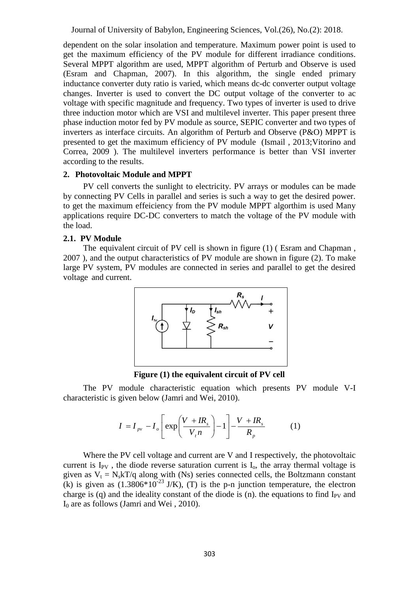dependent on the solar insolation and temperature. Maximum power point is used to get the maximum efficiency of the PV module for different irradiance conditions. Several MPPT algorithm are used, MPPT algorithm of Perturb and Observe is used (Esram and Chapman, 2007). In this algorithm, the single ended primary inductance converter duty ratio is varied, which means dc-dc converter output voltage changes. Inverter is used to convert the DC output voltage of the converter to ac voltage with specific magnitude and frequency. Two types of inverter is used to drive three induction motor which are VSI and multilevel inverter. This paper present three phase induction motor fed by PV module as source, SEPIC converter and two types of inverters as interface circuits. An algorithm of Perturb and Observe (P&O) MPPT is presented to get the maximum efficiency of PV module (Ismail , 2013;Vitorino and Correa, 2009 ). The multilevel inverters performance is better than VSI inverter according to the results.

### **2. Photovoltaic Module and MPPT**

PV cell converts the sunlight to electricity. PV arrays or modules can be made by connecting PV Cells in parallel and series is such a way to get the desired power. to get the maximum effeiciency from the PV module MPPT algorthim is used Many applications require DC-DC converters to match the voltage of the PV module with the load.

## **2.1. PV Module**

The equivalent circuit of PV cell is shown in figure (1) (Esram and Chapman, 2007 ), and the output characteristics of PV module are shown in figure (2). To make large PV system, PV modules are connected in series and parallel to get the desired voltage and current.



**Figure (1) the equivalent circuit of PV cell**

The PV module characteristic equation which presents PV module V-I

characteristic is given below (Jamri and Wei, 2010).  
\n
$$
I = I_{pv} - I_o \left[ exp \left( \frac{V + IR_s}{V_i n} \right) - 1 \right] - \frac{V + IR_s}{R_p}
$$
\n(1)

Where the PV cell voltage and current are  $V$  and I respectively, the photovoltaic current is  $I_{PV}$ , the diode reverse saturation current is  $I_0$ , the array thermal voltage is given as  $V_t = N_s kT/q$  along with (Ns) series connected cells, the Boltzmann constant (k) is given as  $(1.3806*10^{-23} \text{ J/K})$ , (T) is the p-n junction temperature, the electron charge is (q) and the ideality constant of the diode is (n). the equations to find  $I_{PV}$  and  $I_0$  are as follows (Jamri and Wei, 2010).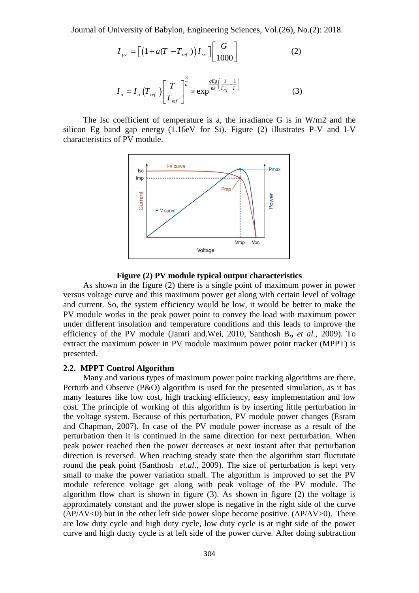Journal of University of Babylon, Engineering Sciences, Vol.(26), No.(2): 2018.  
\n
$$
I_{pv} = \left[ \left( 1 + a(T - T_{ref}) \right) I_{sc} \right] \left[ \frac{G}{1000} \right] \tag{2}
$$
\n
$$
I = I_{eq}(T_{ref}) \left[ \frac{T}{T_{ref}} \right]^{3} \times \exp^{\frac{qE g}{nk} \left( \frac{1}{T_{ref}} - \frac{1}{T} \right)} \tag{3}
$$

$$
I_o = I_o \left(T_{ref}\right) \left[\frac{T}{T_{ref}}\right]^{\frac{3}{n}} \times \exp^{\frac{qE g}{nk} \left(\frac{1}{T_{ref}} - \frac{1}{T}\right)} \tag{3}
$$

The Isc coefficient of temperature is a, the irradiance G is in  $W/m2$  and the silicon Eg band gap energy  $(1.16eV)$  for Si). Figure (2) illustrates P-V and I-V characteristics of PV module.



#### **Figure (2) PV module typical output characteristics**

As shown in the figure (2) there is a single point of maximum power in power versus voltage curve and this maximum power get along with certain level of voltage and current. So, the system efficiency would be low, it would be better to make the PV module works in the peak power point to convey the load with maximum power under different insolation and temperature conditions and this leads to improve the efficiency of the PV module (Jamri and.Wei, 2010, Santhosh B**.,** *et al.*, 2009). To extract the maximum power in PV module maximum power point tracker (MPPT) is presented.

#### **2.2. MPPT Control Algorithm**

Many and various types of maximum power point tracking algorithms are there. Perturb and Observe (P&O) algorithm is used for the presented simulation, as it has many features like low cost, high tracking efficiency, easy implementation and low cost. The principle of working of this algorithm is by inserting little perturbation in the voltage system. Because of this perturbation, PV module power changes (Esram and Chapman, 2007). In case of the PV module power increase as a result of the perturbation then it is continued in the same direction for next"perturbation. When peak power reached then the power decreases at next instant after that perturbation direction is reversed. When reaching steady state then the algorithm start fluctutate round the peak point (Santhosh *et.al*., 2009). The size of perturbation is kept very small to make the power variation small. The algorithm is improved to set the PV module reference voltage get along with peak voltage of the PV module. The algorithm flow chart is shown in figure (3). As shown in figure (2) the voltage is approximately constant and the power slope is negative in the right side of the curve ( $\Delta P/\Delta V$ <0) but in the other left side power slope become positive. ( $\Delta P/\Delta V$ >0). There are low duty cycle and high duty cycle, low duty cycle is at right side of the power curve and high ducty cycle is at left side of the power curve. After doing subtraction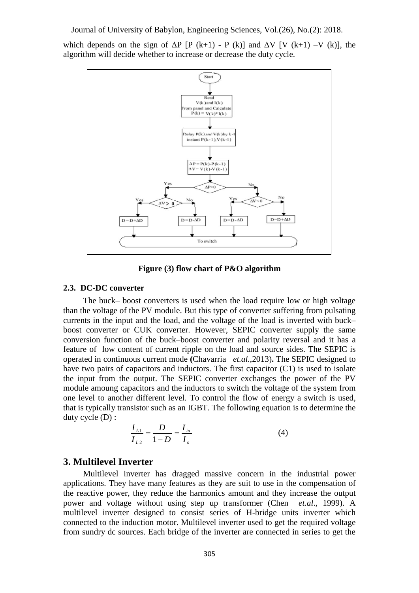which depends on the sign of  $\Delta P$  [P (k+1) - P (k)] and  $\Delta V$  [V (k+1) –V (k)], the algorithm will decide whether to increase or decrease the duty cycle.



**Figure (3) flow chart of P&O algorithm** 

#### **2.3. DC-DC converter**

The buck– boost converters is used when the load require low or high voltage than the voltage of the PV module. But this type of converter suffering from pulsating currents in the input and the load, and the voltage of the load is inverted with buck– boost converter or CUK converter. However, SEPIC converter supply the same conversion function of the buck–boost converter and polarity reversal and it has a feature of low content of current ripple on the load and source sides. The SEPIC is operated in continuous current mode **(**Chavarria *et.al.*,2013)**.** The SEPIC designed to have two pairs of capacitors and inductors. The first capacitor (C1) is used to isolate the input from the output. The SEPIC converter exchanges the power of the PV module amoung capacitors and the inductors to switch the voltage of the system from one level to another different level. To control the flow of energy a switch is used, that is typically transistor such as an IGBT. The following equation is to determine the duty cycle (D) :<br>  $\frac{I_{L1}}{I_{L2}} = \frac{D}{I_{in}} = \frac{I_{in}}{I_{in}}$  (4) duty cycle (D) :

$$
\frac{I_{L1}}{I_{L2}} = \frac{D}{1 - D} = \frac{I_{in}}{I_o}
$$
(4)

## **3. Multilevel Inverter**

Multilevel inverter has dragged massive concern in the industrial power applications. They have many features as they are suit to use in the compensation of the reactive power, they reduce the harmonics amount and they increase the output power and voltage without using step up transformer (Chen *et.al*., 1999). A multilevel inverter designed to consist series of H-bridge units inverter which connected to the induction motor. Multilevel inverter used to get the required voltage from sundry dc sources. Each bridge of the inverter are connected in series to get the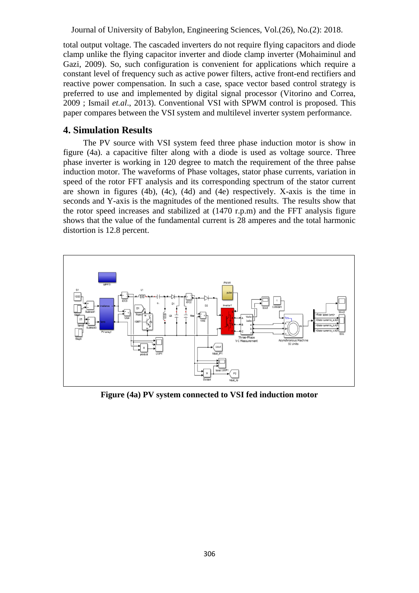total output voltage. The cascaded inverters do not require flying capacitors and diode clamp unlike the flying capacitor inverter and diode clamp inverter (Mohaiminul and Gazi, 2009). So, such configuration is convenient for applications which require a constant level of frequency such as active power filters, active front-end rectifiers and reactive power compensation. In such a case, space vector based control strategy is preferred to use and implemented by digital signal processor (Vitorino and Correa, 2009 ; Ismail *et.al*., 2013). Conventional VSI with SPWM control is proposed. This paper compares between the VSI system and multilevel inverter system performance.

# **4. Simulation Results**

The PV source with VSI system feed three phase induction motor is show in figure (4a). a capacitive filter along with a diode is used as voltage source. Three phase inverter is working in 120 degree to match the requirement of the three pahse induction motor. The waveforms of Phase voltages, stator phase currents, variation in speed of the rotor FFT analysis and its corresponding spectrum of the stator current are shown in figures (4b), (4c), (4d) and (4e) respectively. X-axis is the time in seconds and Y-axis is the magnitudes of the mentioned results. The results show that the rotor speed increases and stabilized at (1470 r.p.m) and the FFT analysis figure shows that the value of the fundamental current is 28 amperes and the total harmonic distortion is 12.8 percent.



**Figure (4a) PV system connected to VSI fed induction motor**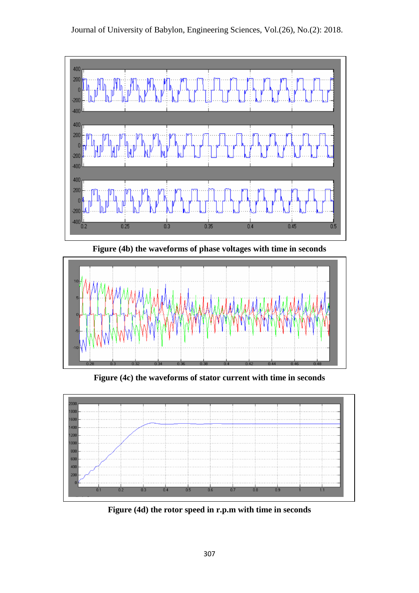

**Figure (4b) the waveforms of phase voltages with time in seconds**



**Figure (4c) the waveforms of stator current with time in seconds**



**Figure (4d) the rotor speed in r.p.m with time in seconds**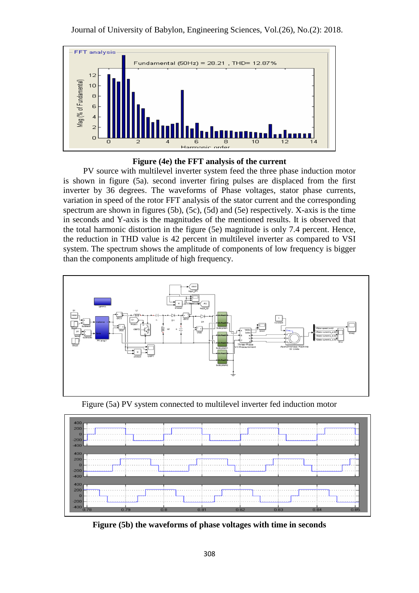



PV source with multilevel inverter system feed the three phase induction motor is shown in figure (5a). second inverter firing pulses are displaced from the first inverter by 36 degrees. The waveforms of Phase voltages, stator phase currents, variation in speed of the rotor FFT analysis of the stator current and the corresponding spectrum are shown in figures (5b), (5c), (5d) and (5e) respectively. X-axis is the time in seconds and Y-axis is the magnitudes of the mentioned results. It is observed that the total harmonic distortion in the figure (5e) magnitude is only 7.4 percent. Hence, the reduction in THD value is 42 percent in multilevel inverter as compared to VSI system. The spectrum shows the amplitude of components of low frequency is bigger than the components amplitude of high frequency.



Figure (5a) PV system connected to multilevel inverter fed induction motor



**Figure (5b) the waveforms of phase voltages with time in seconds**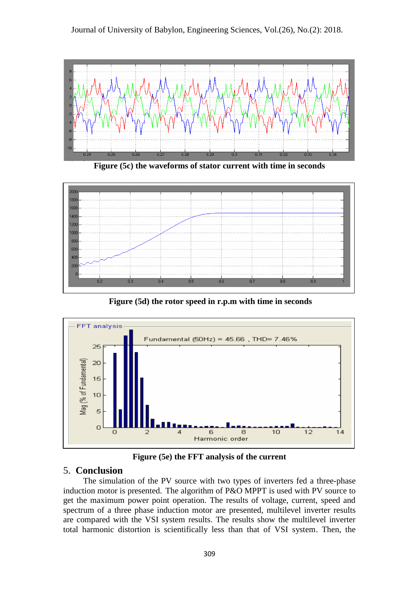



**Figure (5c) the waveforms of stator current with time in seconds**



**Figure (5d) the rotor speed in r.p.m with time in seconds**



**Figure (5e) the FFT analysis of the current**

# 5. **Conclusion**

The simulation of the PV source with two types of inverters fed a three-phase induction motor is presented. The algorithm of P&O MPPT is used with PV source to get the maximum power point operation. The results of voltage, current, speed and spectrum of a three phase induction motor are presented, multilevel inverter results are compared with the VSI system results. The results show the multilevel inverter total harmonic distortion is scientifically less than that of VSI system. Then, the